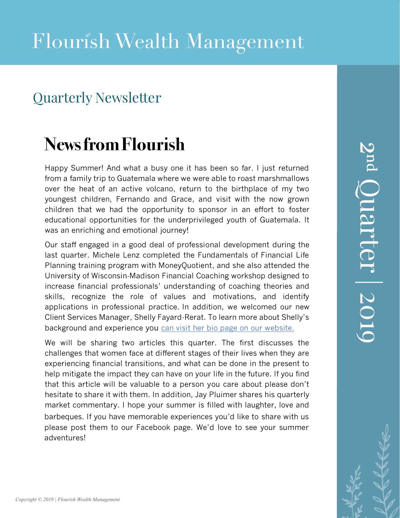### Quarterly Newsletter

## **News from Flourish**

Happy Summer! And what a busy one it has been so far. I just returned from a family trip to Guatemala where we were able to roast marshmallows over the heat of an active volcano, return to the birthplace of my two youngest children, Fernando and Grace, and visit with the now grown children that we had the opportunity to sponsor in an effort to foster educational opportunities for the underprivileged youth of Guatemala. It was an enriching and emotional journey!

Our staff engaged in a good deal of professional development during the last quarter. Michele Lenz completed the Fundamentals of Financial Life Planning training program with MoneyQuotient, and she also attended the University of Wisconsin-Madison Financial Coaching workshop designed to increase financial professionals' understanding of coaching theories and skills, recognize the role of values and motivations, and identify applications in professional practice. In addition, we welcomed our new Client Services Manager, Shelly Fayard-Rerat. To learn more about Shelly's background and experience you can visit her bio page on our website.

We will be sharing two articles this quarter. The first discusses the challenges that women face at different stages of their lives when they are experiencing financial transitions, and what can be done in the present to help mitigate the impact they can have on your life in the future. If you find that this article will be valuable to a person you care about please don't hesitate to share it with the[m. In addition, Jay Pluimer shares his quart](https://www.flourishwealthmanagement.com/shelly-fayard)erly market commentary. I hope your summer is filled with laughter, love and barbeques. If you have memorable experiences you'd like to share with us please post them to our Facebook page. We'd love to see your summer adventures!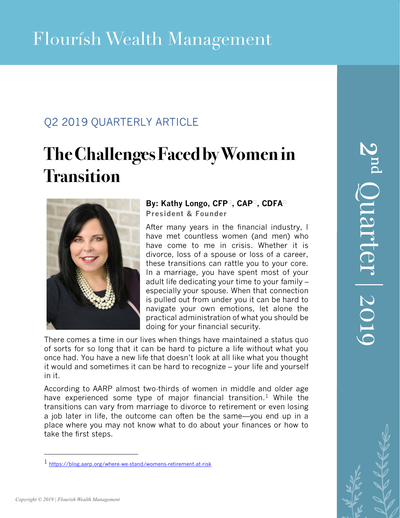### Q2 2019 QUARTERLY ARTICLE

# **TheChallengesFacedbyWomenin Transition**



#### **By: Kathy Longo, CFP®, CAP®, CDFA® President & Founder**

After many years in the financial industry, I have met countless women (and men) who have come to me in crisis. Whether it is divorce, loss of a spouse or loss of a career, these transitions can rattle you to your core. In a marriage, you have spent most of your adult life dedicating your time to your family – especially your spouse. When that connection is pulled out from under you it can be hard to navigate your own emotions, let alone the practical administration of what you should be doing for your financial security.

There comes a time in our lives when things have maintained a status quo of sorts for so long that it can be hard to picture a life without what you once had. You have a new life that doesn't look at all like what you thought it would and sometimes it can be hard to recognize – your life and yourself in it.

According to AARP almost two-thirds of women in middle and older age have experienced some type of major financial transition.<sup>1</sup> While the transitions can vary from marriage to divorce to retirement or even losing a job later in life, the outcome can often be the same—you end up in a place where you may not know what to do about your finances or how to take the first steps.

*Copyright © 2019 | Flourish Wealth Management*

<sup>1</sup> <https://blog.aarp.org/where-we-stand/womens-retirement-at-risk>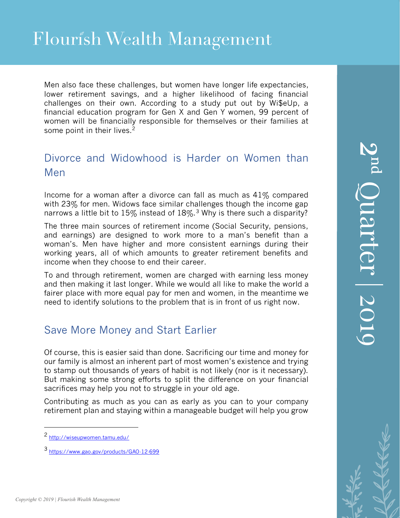## Flourish Wealth Management

Men also face these challenges, but women have longer life expectancies, lower retirement savings, and a higher likelihood of facing financial challenges on their own. According to a study put out by Wi\$eUp, a financial education program for Gen X and Gen Y women, 99 percent of women will be financially responsible for themselves or their families at some point in their lives.<sup>2</sup>

#### Divorce and Widowhood is Harder on Women than Men

Income for a woman after a divorce can fall as much as 41% compared with 23% for men. Widows face similar challenges though the income gap narrows a little bit to 15% instead of 18%.<sup>3</sup> Why is there such a disparity?

The three main sources of retirement income (Social Security, pensions, and earnings) are designed to work more to a man's benefit than a woman's. Men have higher and more consistent earnings during their working years, all of which amounts to greater retirement benefits and income when they choose to end their career.

To and through retirement, women are charged with earning less money and then making it last longer. While we would all like to make the world a fairer place with more equal pay for men and women, in the meantime we need to identify solutions to the problem that is in front of us right now.

#### Save More Money and Start Earlier

Of course, this is easier said than done. Sacrificing our time and money for our family is almost an inherent part of most women's existence and trying to stamp out thousands of years of habit is not likely (nor is it necessary). But making some strong efforts to split the difference on your financial sacrifices may help you not to struggle in your old age.

Contributing as much as you can as early as you can to your company retirement plan and staying within a manageable budget will help you grow

<sup>2</sup> <http://wiseupwomen.tamu.edu/>

<sup>3</sup> <https://www.gao.gov/products/GAO-12-699>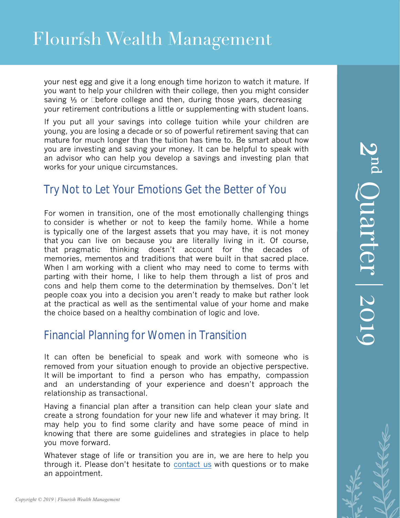your nest egg and give it a long enough time horizon to watch it mature. If you want to help your children with their college, then you might consider saving 1/<sub>3</sub> or ½ before college and then, during those years, decreasing your retirement contributions a little or supplementing with student loans.

If you put all your savings into college tuition while your children are young, you are losing a decade or so of powerful retirement saving that can mature for much longer than the tuition has time to. Be smart about how you are investing and saving your money. It can be helpful to speak with an advisor who can help you develop a savings and investing plan that works for your unique circumstances.

### Try Not to Let Your Emotions Get the Better of You

 For women in transition, one of the most emotionally challenging things to consider is whether or not to keep the family home. While a home is typically one of the largest assets that you may have, it is not money that you can live on because you are literally living in it. Of course, that pragmatic thinking doesn't account for the decades of memories, mementos and traditions that were built in that sacred place. When I am working with a client who may need to come to terms with parting with their home, I like to help them through a list of pros and cons and help them come to the determination by themselves. Don't let people coax you into a decision you aren't ready to make but rather look at the practical as well as the sentimental value of your home and make the choice based on a healthy combination of logic and love.

#### Financial Planning for Women in Transition

It can often be beneficial to speak and work with someone who is removed from your situation enough to provide an objective perspective. It will be important to find a person who has empathy, compassion and an understanding of your experience and doesn't approach the relationship as transactional.

Having a financial plan after a transition can help clean your slate and create a strong foundation for your new life and whatever it may bring. It may help you to find some clarity and have some peace of mind in knowing that there are some guidelines and strategies in place to help you move forward.

Whatever stage of life or transition you are in, we are here to help you through it. Please don't hesitate to [contact us](https://www.flourishwealthmanagement.com/contact.html) with questions or to make an appointment.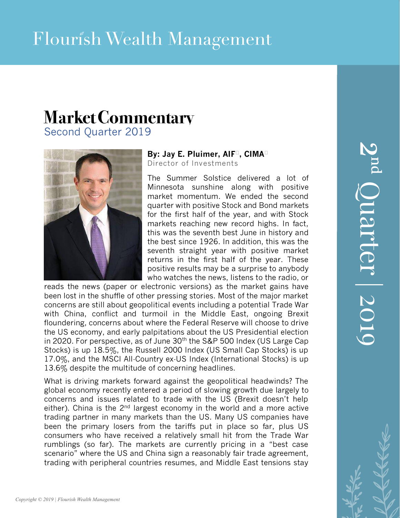### **MarketCommentary** Second Quarter 2019



**By: Jay E. Pluimer, AIF®, CIMA®** Director of Investments

The Summer Solstice delivered a lot of Minnesota sunshine along with positive market momentum. We ended the second quarter with positive Stock and Bond markets for the first half of the year, and with Stock markets reaching new record highs. In fact, this was the seventh best June in history and the best since 1926. In addition, this was the seventh straight year with positive market returns in the first half of the year. These positive results may be a surprise to anybody who watches the news, listens to the radio, or

reads the news (paper or electronic versions) as the market gains have been lost in the shuffle of other pressing stories. Most of the major market concerns are still about geopolitical events including a potential Trade War with China, conflict and turmoil in the Middle East, ongoing Brexit floundering, concerns about where the Federal Reserve will choose to drive the US economy, and early palpitations about the US Presidential election in 2020. For perspective, as of June 30<sup>th</sup> the S&P 500 Index (US Large Cap Stocks) is up 18.5%, the Russell 2000 Index (US Small Cap Stocks) is up 17.0%, and the MSCI All-Country ex-US Index (International Stocks) is up 13.6% despite the multitude of concerning headlines.

What is driving markets forward against the geopolitical headwinds? The global economy recently entered a period of slowing growth due largely to concerns and issues related to trade with the US (Brexit doesn't help either). China is the  $2<sup>nd</sup>$  largest economy in the world and a more active trading partner in many markets than the US. Many US companies have been the primary losers from the tariffs put in place so far, plus US consumers who have received a relatively small hit from the Trade War rumblings (so far). The markets are currently pricing in a "best case scenario" where the US and China sign a reasonably fair trade agreement, trading with peripheral countries resumes, and Middle East tensions stay